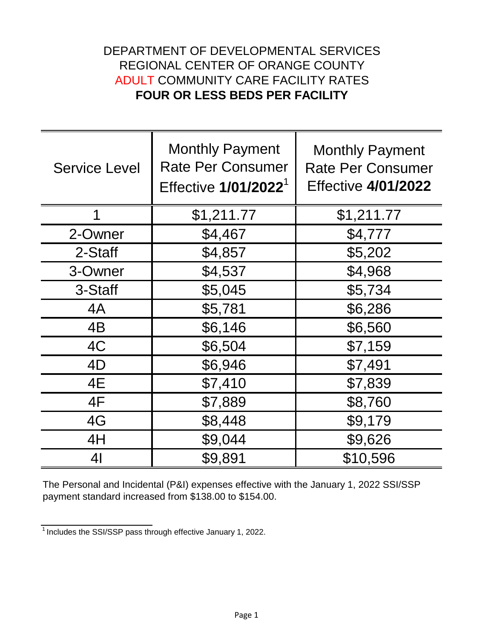## DEPARTMENT OF DEVELOPMENTAL SERVICES REGIONAL CENTER OF ORANGE COUNTY ADULT COMMUNITY CARE FACILITY RATES **FOUR OR LESS BEDS PER FACILITY**

| <b>Service Level</b> | <b>Monthly Payment</b><br><b>Rate Per Consumer</b><br>Effective 1/01/2022 <sup>1</sup> | <b>Monthly Payment</b><br><b>Rate Per Consumer</b><br><b>Effective 4/01/2022</b> |
|----------------------|----------------------------------------------------------------------------------------|----------------------------------------------------------------------------------|
| 1                    | \$1,211.77                                                                             | \$1,211.77                                                                       |
| 2-Owner              | \$4,467                                                                                | \$4,777                                                                          |
| 2-Staff              | \$4,857                                                                                | \$5,202                                                                          |
| 3-Owner              | \$4,537                                                                                | \$4,968                                                                          |
| 3-Staff              | \$5,045                                                                                | \$5,734                                                                          |
| 4A                   | \$5,781                                                                                | \$6,286                                                                          |
| 4B                   | \$6,146                                                                                | \$6,560                                                                          |
| 4C                   | \$6,504                                                                                | \$7,159                                                                          |
| 4D                   | \$6,946                                                                                | \$7,491                                                                          |
| 4E                   | \$7,410                                                                                | \$7,839                                                                          |
| 4F                   | \$7,889                                                                                | \$8,760                                                                          |
| 4G                   | \$8,448                                                                                | \$9,179                                                                          |
| 4H                   | \$9,044                                                                                | \$9,626                                                                          |
| 4 <sub>l</sub>       | \$9,891                                                                                | \$10,596                                                                         |

The Personal and Incidental (P&I) expenses effective with the January 1, 2022 SSI/SSP payment standard increased from \$138.00 to \$154.00.

 $1$ Includes the SSI/SSP pass through effective January 1, 2022.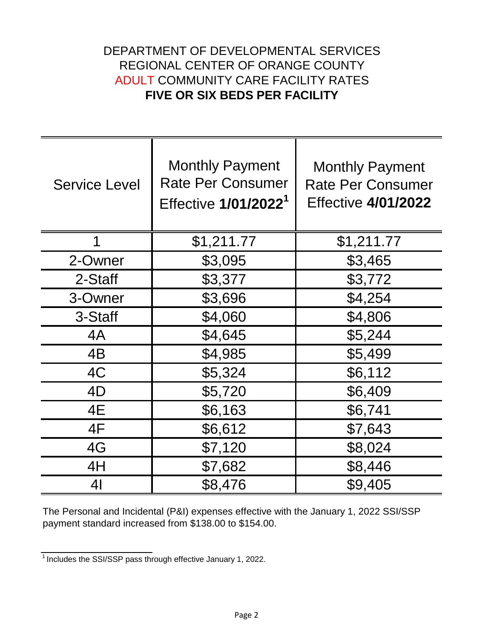## DEPARTMENT OF DEVELOPMENTAL SERVICES REGIONAL CENTER OF ORANGE COUNTY ADULT COMMUNITY CARE FACILITY RATES **FIVE OR SIX BEDS PER FACILITY**

| <b>Service Level</b> | <b>Monthly Payment</b><br><b>Rate Per Consumer</b><br>Effective 1/01/2022 <sup>1</sup> | <b>Monthly Payment</b><br><b>Rate Per Consumer</b><br><b>Effective 4/01/2022</b> |
|----------------------|----------------------------------------------------------------------------------------|----------------------------------------------------------------------------------|
| 1                    | \$1,211.77                                                                             | \$1,211.77                                                                       |
| 2-Owner              | \$3,095                                                                                | \$3,465                                                                          |
| 2-Staff              | \$3,377                                                                                | \$3,772                                                                          |
| 3-Owner              | \$3,696                                                                                | \$4,254                                                                          |
| 3-Staff              | \$4,060                                                                                | \$4,806                                                                          |
| 4A                   | \$4,645                                                                                | \$5,244                                                                          |
| 4B                   | \$4,985                                                                                | \$5,499                                                                          |
| 4C                   | \$5,324                                                                                | \$6,112                                                                          |
| 4D                   | \$5,720                                                                                | \$6,409                                                                          |
| 4E                   | \$6,163                                                                                | \$6,741                                                                          |
| 4F                   | \$6,612                                                                                | \$7,643                                                                          |
| 4G                   | \$7,120                                                                                | \$8,024                                                                          |
| 4H                   | \$7,682                                                                                | \$8,446                                                                          |
| 41                   | \$8,476                                                                                | \$9,405                                                                          |

The Personal and Incidental (P&I) expenses effective with the January 1, 2022 SSI/SSP payment standard increased from \$138.00 to \$154.00.

 $\frac{1}{1}$  Includes the SSI/SSP pass through effective January 1, 2022.